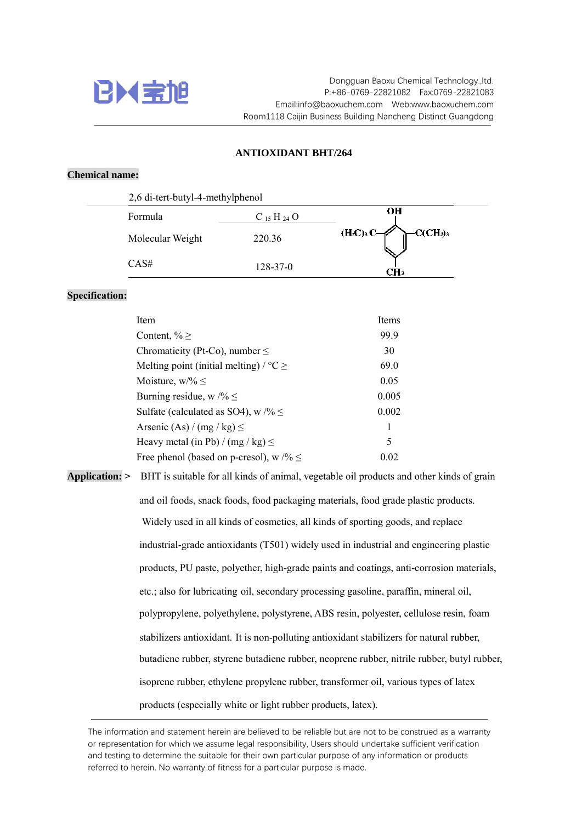

## **ANTIOXIDANT BHT/264**

## **Chemical name:**

| 2,6 di-tert-butyl-4-methylphenol |                 |                            |
|----------------------------------|-----------------|----------------------------|
| Formula                          | $C_{15}H_{24}O$ | OН                         |
| Molecular Weight                 | 220.36          | $(H_3C)_3C_3$<br>$C(CH_3)$ |
| CAS#                             | $128 - 37 - 0$  | CH3                        |

## **Specification:**

| <b>Items</b> |
|--------------|
| 99.9         |
| 30           |
| 69.0         |
| 0.05         |
| 0.005        |
| 0.002        |
| 1            |
| 5            |
| 0.02         |
|              |

**Application: >** BHT is suitable for all kinds of animal, vegetable oil products and other kinds of grain and oil foods, snack foods, food packaging materials, food grade plastic products. Widely used in all kinds of cosmetics, all kinds of sporting goods, and replace industrial-grade antioxidants (T501) widely used in industrial and engineering plastic products, PU paste, polyether, high-grade paints and coatings, anti-corrosion materials, etc.; also for lubricating oil, secondary processing gasoline, paraffin, mineral oil, polypropylene, polyethylene, polystyrene, ABS resin, polyester, cellulose resin, foam stabilizers antioxidant. It is non-polluting antioxidant stabilizers for natural rubber, butadiene rubber, styrene butadiene rubber, neoprene rubber, nitrile rubber, butyl rubber, isoprene rubber, ethylene propylene rubber, transformer oil, various types of latex products (especially white or light rubber products, latex).

The information and statement herein are believed to be reliable but are not to be construed as a warranty or representation for which we assume legal responsibility, Users should undertake sufficient verification and testing to determine the suitable for their own particular purpose of any information or products referred to herein. No warranty of fitness for a particular purpose is made.